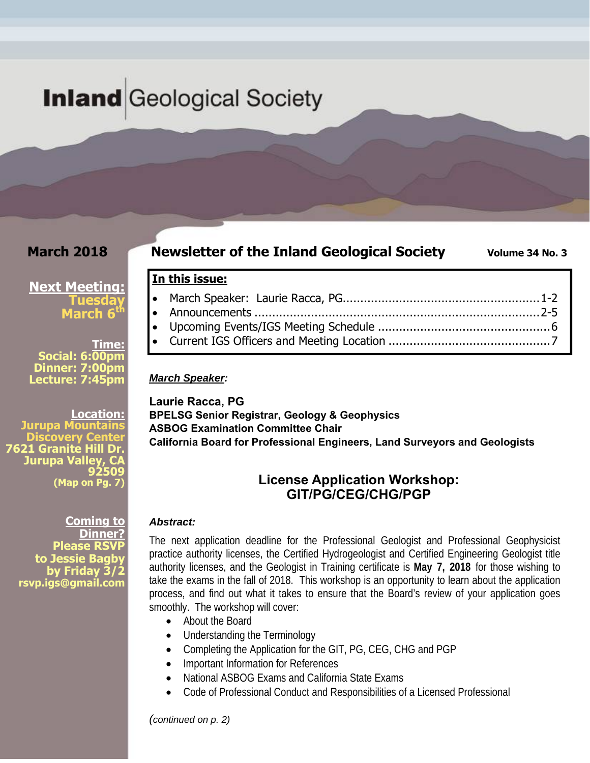# **Inland** Geological Society

**In this issue:** 

*March Speaker:* 

### **March 2018**

#### **Newsletter of the Inland Geological Society** Volume 34 No. 3

### **Next Meeting: Tuesday March 6<sup>t</sup>**

**Time: Social: 6:00pm Dinner: 7:00pm Lecture: 7:45pm** 

**Location: Jurupa Mountains Discovery Center** 7621 Granite Hill D **Jurupa Valley 92509 (Map on Pg. 7)**

> **Coming to Dinner? Please RSVF** to Jessie Bagb<sup>®</sup> **by Friday 3/2 rsvp.igs@gmail.com**

**Laurie Racca, PG BPELSG Senior Registrar, Geology & Geophysics ASBOG Examination Committee Chair California Board for Professional Engineers, Land Surveyors and Geologists** 

### **License Application Workshop: GIT/PG/CEG/CHG/PGP**

 March Speaker: Laurie Racca, PG........................................................ 1-2 Announcements ................................................................................. 2-5 Upcoming Events/IGS Meeting Schedule ................................................. 6 Current IGS Officers and Meeting Location .............................................. 7

#### *Abstract:*

The next application deadline for the Professional Geologist and Professional Geophysicist practice authority licenses, the Certified Hydrogeologist and Certified Engineering Geologist title authority licenses, and the Geologist in Training certificate is **May 7, 2018** for those wishing to take the exams in the fall of 2018. This workshop is an opportunity to learn about the application process, and find out what it takes to ensure that the Board's review of your application goes smoothly. The workshop will cover:

- About the Board
- Understanding the Terminology
- Completing the Application for the GIT, PG, CEG, CHG and PGP
- Important Information for References
- National ASBOG Exams and California State Exams
- Code of Professional Conduct and Responsibilities of a Licensed Professional

*(continued on p. 2)*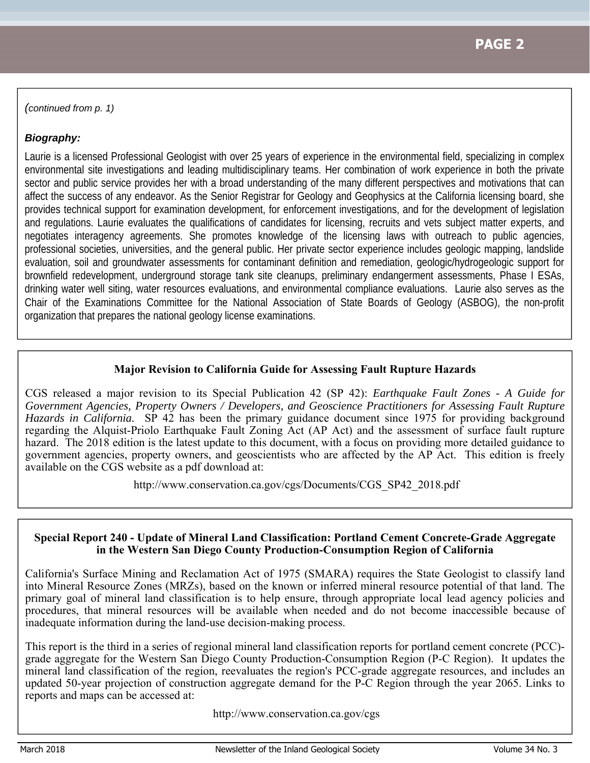*(continued from p. 1)* 

#### *Biography:*

Laurie is a licensed Professional Geologist with over 25 years of experience in the environmental field, specializing in complex environmental site investigations and leading multidisciplinary teams. Her combination of work experience in both the private sector and public service provides her with a broad understanding of the many different perspectives and motivations that can affect the success of any endeavor. As the Senior Registrar for Geology and Geophysics at the California licensing board, she provides technical support for examination development, for enforcement investigations, and for the development of legislation and regulations. Laurie evaluates the qualifications of candidates for licensing, recruits and vets subject matter experts, and negotiates interagency agreements. She promotes knowledge of the licensing laws with outreach to public agencies, professional societies, universities, and the general public. Her private sector experience includes geologic mapping, landslide evaluation, soil and groundwater assessments for contaminant definition and remediation, geologic/hydrogeologic support for brownfield redevelopment, underground storage tank site cleanups, preliminary endangerment assessments, Phase I ESAs, drinking water well siting, water resources evaluations, and environmental compliance evaluations. Laurie also serves as the Chair of the Examinations Committee for the National Association of State Boards of Geology (ASBOG), the non-profit organization that prepares the national geology license examinations.

#### **Major Revision to California Guide for Assessing Fault Rupture Hazards**

CGS released a major revision to its Special Publication 42 (SP 42): *Earthquake Fault Zones - A Guide for Government Agencies, Property Owners / Developers, and Geoscience Practitioners for Assessing Fault Rupture Hazards in California.* SP 42 has been the primary guidance document since 1975 for providing background regarding the Alquist-Priolo Earthquake Fault Zoning Act (AP Act) and the assessment of surface fault rupture hazard. The 2018 edition is the latest update to this document, with a focus on providing more detailed guidance to government agencies, property owners, and geoscientists who are affected by the AP Act. This edition is freely available on the CGS website as a pdf download at:

http://www.conservation.ca.gov/cgs/Documents/CGS\_SP42\_2018.pdf

#### **Special Report 240 - Update of Mineral Land Classification: Portland Cement Concrete-Grade Aggregate in the Western San Diego County Production-Consumption Region of California**

California's Surface Mining and Reclamation Act of 1975 (SMARA) requires the State Geologist to classify land into Mineral Resource Zones (MRZs), based on the known or inferred mineral resource potential of that land. The primary goal of mineral land classification is to help ensure, through appropriate local lead agency policies and procedures, that mineral resources will be available when needed and do not become inaccessible because of inadequate information during the land-use decision-making process.

This report is the third in a series of regional mineral land classification reports for portland cement concrete (PCC) grade aggregate for the Western San Diego County Production-Consumption Region (P-C Region). It updates the mineral land classification of the region, reevaluates the region's PCC-grade aggregate resources, and includes an updated 50‑year projection of construction aggregate demand for the P-C Region through the year 2065. Links to reports and maps can be accessed at:

http://www.conservation.ca.gov/cgs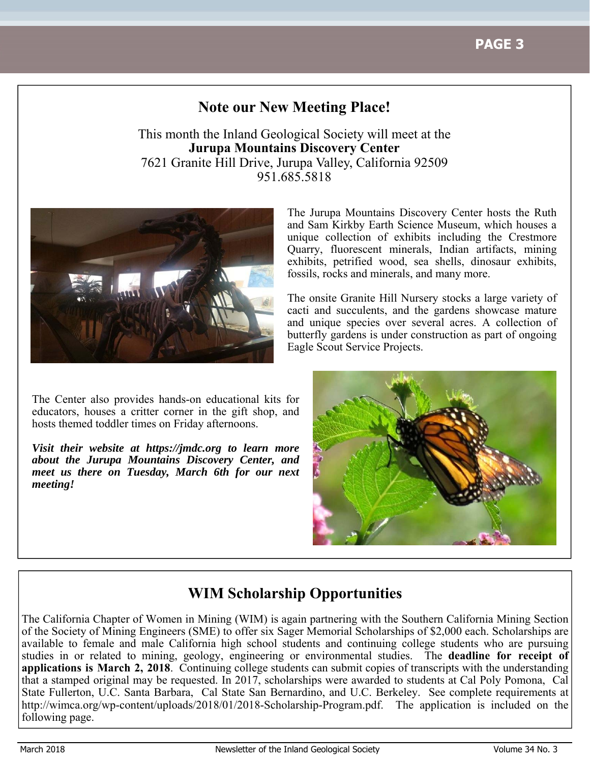# **Note our New Meeting Place!**

This month the Inland Geological Society will meet at the **Jurupa Mountains Discovery Center** 7621 Granite Hill Drive, Jurupa Valley, California 92509 951.685.5818



The Center also provides hands-on educational kits for educators, houses a critter corner in the gift shop, and hosts themed toddler times on Friday afternoons.

*Visit their website at https://jmdc.org to learn more about the Jurupa Mountains Discovery Center, and meet us there on Tuesday, March 6th for our next meeting!*

The Jurupa Mountains Discovery Center hosts the Ruth and Sam Kirkby Earth Science Museum, which houses a unique collection of exhibits including the Crestmore Quarry, fluorescent minerals, Indian artifacts, mining exhibits, petrified wood, sea shells, dinosaur exhibits, fossils, rocks and minerals, and many more.

The onsite Granite Hill Nursery stocks a large variety of cacti and succulents, and the gardens showcase mature and unique species over several acres. A collection of butterfly gardens is under construction as part of ongoing Eagle Scout Service Projects.



# **WIM Scholarship Opportunities**

The California Chapter of Women in Mining (WIM) is again partnering with the Southern California Mining Section of the Society of Mining Engineers (SME) to offer six Sager Memorial Scholarships of \$2,000 each. Scholarships are available to female and male California high school students and continuing college students who are pursuing studies in or related to mining, geology, engineering or environmental studies. The **deadline for receipt of applications is March 2, 2018**. Continuing college students can submit copies of transcripts with the understanding that a stamped original may be requested. In 2017, scholarships were awarded to students at Cal Poly Pomona, Cal State Fullerton, U.C. Santa Barbara, Cal State San Bernardino, and U.C. Berkeley. See complete requirements at http://wimca.org/wp-content/uploads/2018/01/2018-Scholarship-Program.pdf. The application is included on the following page.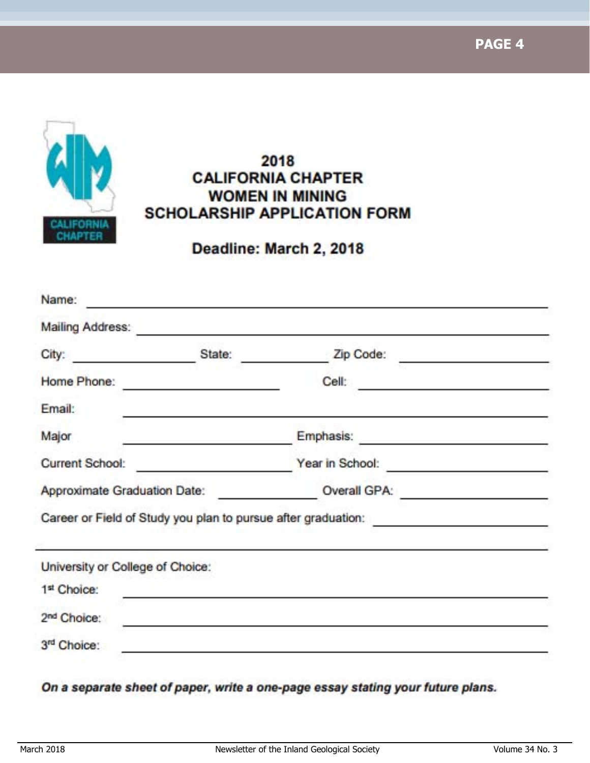**PAGE 4**



# 2018 **CALIFORNIA CHAPTER WOMEN IN MINING SCHOLARSHIP APPLICATION FORM**

Deadline: March 2, 2018

|                                                 | State: |                                                                                                                            |  |
|-------------------------------------------------|--------|----------------------------------------------------------------------------------------------------------------------------|--|
| City: 2008                                      |        | Zip Code:                                                                                                                  |  |
| Home Phone:                                     |        | Cell                                                                                                                       |  |
| Email:                                          |        |                                                                                                                            |  |
| Major                                           |        | Emphasis:                                                                                                                  |  |
| <b>Current School:</b>                          |        | Year in School:                                                                                                            |  |
| Approximate Graduation Date:                    |        | Overall GPA:                                                                                                               |  |
|                                                 |        | Career or Field of Study you plan to pursue after graduation: The manuscript of Study you plan to pursue after graduation: |  |
|                                                 |        |                                                                                                                            |  |
|                                                 |        |                                                                                                                            |  |
| 1st Choice:                                     |        |                                                                                                                            |  |
| University or College of Choice:<br>2nd Choice: |        |                                                                                                                            |  |

On a separate sheet of paper, write a one-page essay stating your future plans.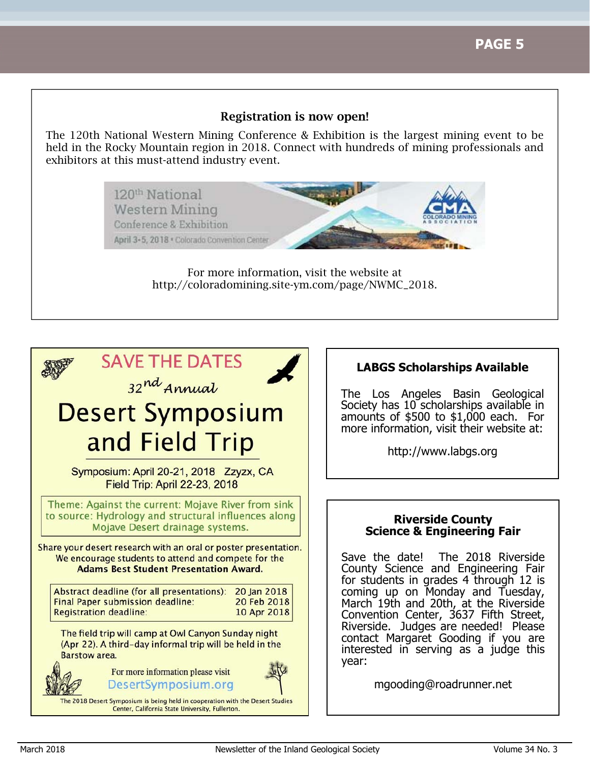#### Registration is now open!

The 120th National Western Mining Conference & Exhibition is the largest mining event to be held in the Rocky Mountain region in 2018. Connect with hundreds of mining professionals and exhibitors at this must-attend industry event.

> 120<sup>th</sup> National **Western Mining** Conference & Exhibition April 3-5, 2018 . Colorado Convention Center

> > For more information, visit the website at http://coloradomining.site-ym.com/page/NWMC\_2018.



### **LABGS Scholarships Available**

The Los Angeles Basin Geological Society has 10 scholarships available in amounts of \$500 to \$1,000 each. For more information, visit their website at:

http://www.labgs.org

#### **Riverside County Science & Engineering Fair**

Save the date! The 2018 Riverside County Science and Engineering Fair for students in grades 4 through 12 is coming up on Monday and Tuesday, March 19th and 20th, at the Riverside Convention Center, 3637 Fifth Street, Riverside. Judges are needed! Please contact Margaret Gooding if you are interested in serving as a judge this year:

mgooding@roadrunner.net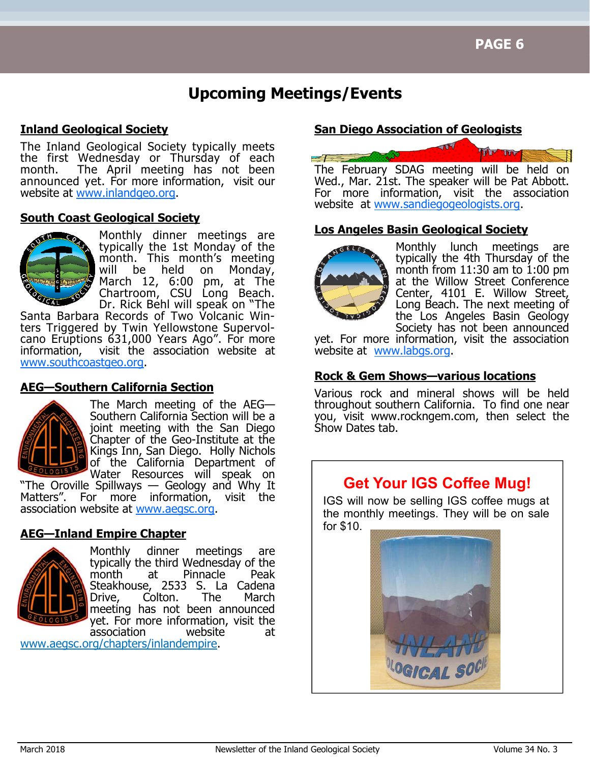# **Upcoming Meetings/Events**

#### **Inland Geological Society**

The Inland Geological Society typically meets the first Wednesday or Thursday of each month. The April meeting has not been announced yet. For more information, visit our website at www.inlandgeo.org.

#### **South Coast Geological Society**



Monthly dinner meetings are typically the 1st Monday of the month. This month's meeting will be held on March 12, 6:00 pm, at The Chartroom, CSU Long Beach. Dr. Rick Behl will speak on "The

Santa Barbara Records of Two Volcanic Winters Triggered by Twin Yellowstone Supervolcano Eruptions 631,000 Years Ago". For more information, visit the association website at www.southcoastgeo.org.

#### **AEG—Southern California Section**



The March meeting of the AEG— Southern California Section will be a joint meeting with the San Diego Chapter of the Geo-Institute at the Kings Inn, San Diego. Holly Nichols of the California Department of Water Resources will speak on

"The Oroville Spillways — Geology and Why It Matters". For more information, visit the association website at www.aegsc.org.

### **AEG—Inland Empire Chapter**



Monthly dinner meetings are typically the third Wednesday of the month at Pinnacle Peak Steakhouse, 2533 S. La Cadena Drive, Colton. The March meeting has not been announced yet. For more information, visit the<br>association movebsite at association website at

www.aegsc.org/chapters/inlandempire.

#### **San Diego Association of Geologists**



Wed., Mar. 21st. The speaker will be Pat Abbott. For more information, visit the association website at www.sandiegogeologists.org.

#### **Los Angeles Basin Geological Society**



Monthly lunch meetings are typically the 4th Thursday of the month from  $11:30$  am to  $1:00$  pm at the Willow Street Conference Center, 4101 E. Willow Street, Long Beach. The next meeting of the Los Angeles Basin Geology Society has not been announced

yet. For more information, visit the association website at www.labgs.org.

### **Rock & Gem Shows—various locations**

Various rock and mineral shows will be held throughout southern California. To find one near you, visit www.rockngem.com, then select the Show Dates tab.

# **Get Your IGS Coffee Mug!**

IGS will now be selling IGS coffee mugs at the monthly meetings. They will be on sale for \$10.